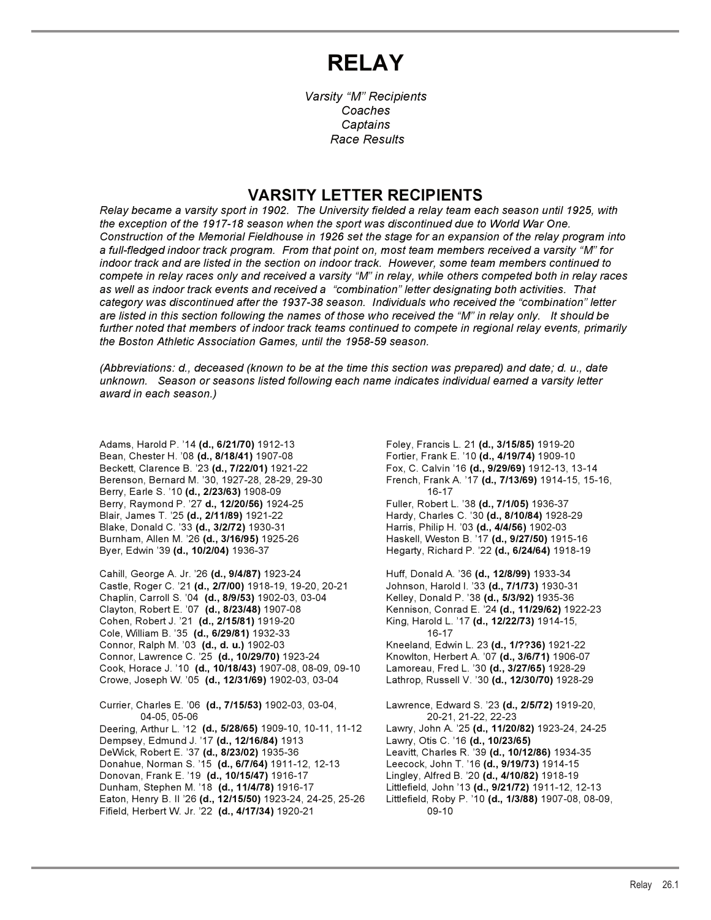# **RELAY**

*Varsity "M" Recipients Coaches Captains Race Results*

## **VARSITY LETTER RECIPIENTS**

*Relay became a varsity sport in 1902. The University fielded a relay team each season until 1925, with the exception of the 1917-18 season when the sport was discontinued due to World War One. Construction of the Memorial Fieldhouse in 1926 set the stage for an expansion of the relay program into a full-fledged indoor track program. From that point on, most team members received a varsity "M" for indoor track and are listed in the section on indoor track. However, some team members continued to compete in relay races only and received a varsity "M" in relay, while others competed both in relay races as well as indoor track events and received a "combination" letter designating both activities. That category was discontinued after the 1937-38 season. Individuals who received the "combination" letter are listed in this section following the names of those who received the "M" in relay only. It should be further noted that members of indoor track teams continued to compete in regional relay events, primarily the Boston Athletic Association Games, until the 1958-59 season.*

*(Abbreviations: d., deceased (known to be at the time this section was prepared) and date; d. u., date unknown. Season or seasons listed following each name indicates individual earned a varsity letter award in each season.)*

Adams, Harold P. '14 **(d., 6/21/70)** 1912-13 Foley, Francis L. 21 **(d., 3/15/85)** 1919-20 Bean, Chester H. '08 **(d., 8/18/41)** 1907-08 Fortier, Frank E. '10 **(d., 4/19/74)** 1909-10 Beckett, Clarence B. '23 **(d., 7/22/01)** 1921-22 Fox, C. Calvin '16 **(d., 9/29/69)** 1912-13, 13-14 Berry, Earle S. '10 (d., 2/23/63) 1908-09 Berry, Raymond P. '27 **d., 12/20/56)** 1924-25 Fuller, Robert L. '38 **(d., 7/1/05)** 1936-37 Blair, James T. '25 **(d., 2/11/89)** 1921-22 Hardy, Charles C. '30 **(d., 8/10/84)** 1928-29 Blake, Donald C. '33 **(d., 3/2/72)** 1930-31 Harris, Philip H. '03 **(d., 4/4/56)** 1902-03 Burnham, Allen M. '26 **(d., 3/16/95)** 1925-26 Haskell, Weston B. '17 **(d., 9/27/50)** 1915-16 Byer, Edwin '39 **(d., 10/2/04)** 1936-37 Hegarty, Richard P. '22 **(d., 6/24/64)** 1918-19

Cahill, George A. Jr. '26 **(d., 9/4/87)** 1923-24 Huff, Donald A. '36 **(d., 12/8/99)** 1933-34 Castle, Roger C. '21 **(d., 2/7/00)** 1918-19, 19-20, 20-21 Johnson, Harold I. '33 **(d., 7/1/73)** 1930-31 Chaplin, Carroll S. '04 **(d., 8/9/53)** 1902-03, 03-04 Kelley, Donald P. '38 **(d., 5/3/92)** 1935-36 Clayton, Robert E. '07 **(d., 8/23/48)** 1907-08 Kennison, Conrad E. '24 **(d., 11/29/62)** 1922-23 Cohen, Robert J. '21 **(d., 2/15/81)** 1919-20 King, Harold L. '17 **(d., 12/22/73)** 1914-15, Cole, William B. '35 **(d., 6/29/81)** 1932-33 16-17 Connor, Ralph M. '03 **(d., d. u.)** 1902-03 Connor, Lawrence C. '25 **(d., 10/29/70)** 1923-24 Knowlton, Herbert A. '07 **(d., 3/6/71)** 1906-07 Cook, Horace J. '10 **(d., 10/18/43)** 1907-08, 08-09, 09-10 Lamoreau, Fred L. '30 **(d., 3/27/65)** 1928-29 Crowe, Joseph W. '05 **(d., 12/31/69)** 1902-03, 03-04 Lathrop, Russell V. '30 **(d., 12/30/70)** 1928-29

Currier, Charles E. '06 **(d., 7/15/53)** 1902-03, 03-04, Lawrence, Edward S. '23 **(d., 2/5/72)** 1919-20, 04-05, 05-06 20-21, 21-22, 22-23 Deering, Arthur L. '12 **(d., 5/28/65)** 1909-10, 10-11, 11-12 Lawry, John A. '25 **(d., 11/20/82)** 1923-24, 24-25 Dempsey, Edmund J. '17 (d., 12/16/84) 1913 DeWick, Robert E. '37 **(d., 8/23/02)** 1935-36 Leavitt, Charles R. '39 **(d., 10/12/86)** 1934-35 Donahue, Norman S. '15 **(d., 6/7/64)** 1911-12, 12-13 Leecock, John T. '16 **(d., 9/19/73)** 1914-15 Donovan, Frank E. '19 **(d., 10/15/47)** 1916-17 Lingley, Alfred B. '20 **(d., 4/10/82)** 1918-19 Dunham, Stephen M. '18 **(d., 11/4/78)** 1916-17 Littlefield, John '13 **(d., 9/21/72)** 1911-12, 12-13 Eaton, Henry B. II '26 (d., 12/15/50) 1923-24, 24-25, 25-26 Fifield, Herbert W. Jr. '22 **(d., 4/17/34)** 1920-21 09-10

Berenson, Bernard M. '30, 1927-28, 28-29, 29-30 French, Frank A. '17 **(d., 7/13/69)** 1914-15, 15-16,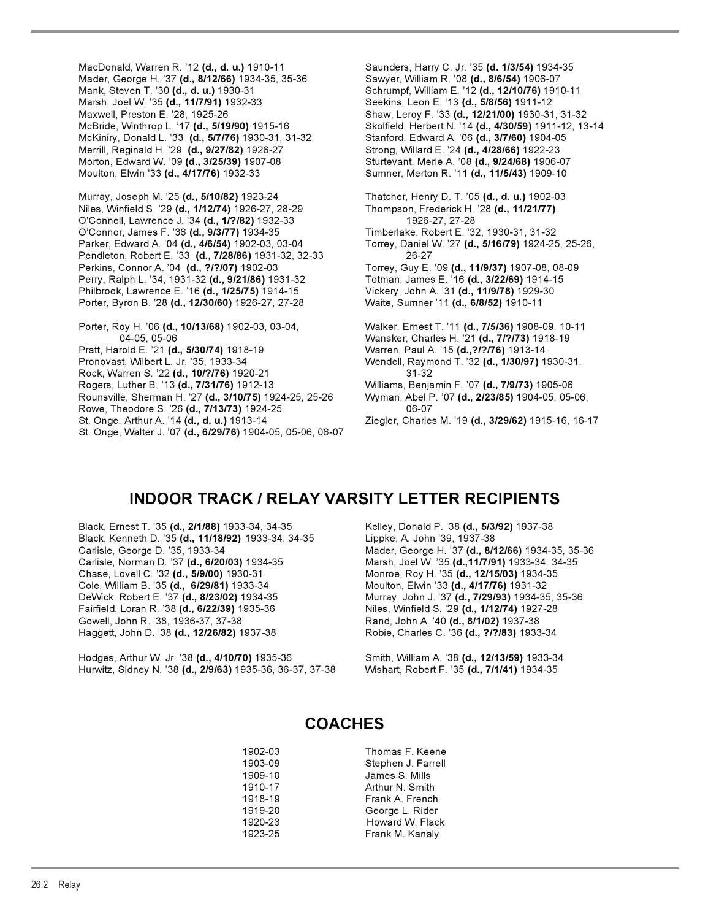MacDonald, Warren R. '12 **(d., d. u.)** 1910-11 Saunders, Harry C. Jr. '35 **(d. 1/3/54)** 1934-35 Mader, George H. '37 **(d., 8/12/66)** 1934-35, 35-36 Sawyer, William R. '08 **(d., 8/6/54)** 1906-07<br>Mank, Steven T. '30 **(d., d. u.)** 1930-31 Sames Schrumpf, William E. '12 **(d., 12/10/76)** 1910 Marsh, Joel W. '35 **(d., 11/7/91)** 1932-33 Seekins, Leon E. '13 **(d., 5/8/56)** 1911-12 Maxwell, Preston E. '28, 1925-26 Shaw, Leroy F. '33 **(d., 12/21/00)** 1930-31, 31-32 McKiniry, Donald L. '33 **(d., 5/7/76)** 1930-31, 31-32 Stanford, Edward A. '06 **(d., 3/7/60)** 1904-05 Merrill, Reginald H. '29 **(d., 9/27/82)** 1926-27 Strong, Willard E. '24 **(d., 4/28/66)** 1922-23 Morton, Edward W. '09 **(d., 3/25/39)** 1907-08 Sturtevant, Merle A. '08 **(d., 9/24/68)** 1906-07 Moulton, Elwin '33 **(d., 4/17/76)** 1932-33 Sumner, Merton R. '11 **(d., 11/5/43)** 1909-10

Murray, Joseph M. '25 **(d., 5/10/82)** 1923-24 Thatcher, Henry D. T. '05 **(d., d. u.)** 1902-03 Niles, Winfield S. '29 **(d., 1/12/74)** 1926-27, 28-29 Thompson, Frederick H. '28 **(d., 11/21/77)** O'Connell, Lawrence J. '34 **(d., 1/?/82)** 1932-33 1926-27, 27-28 O'Connor, James F. '36 **(d., 9/3/77)** 1934-35 Timberlake, Robert E. '32, 1930-31, 31-32 Parker, Edward A. '04 **(d., 4/6/54)** 1902-03, 03-04 Torrey, Daniel W. '27 **(d., 5/16/79)** 1924-25, 25-26, Pendleton, Robert E. '33 **(d., 7/28/86)** 1931-32, 32-33 26-27 Perkins, Connor A. '04 (d., ?/?/07) 1902-03 Perry, Ralph L. '34, 1931-32 **(d., 9/21/86)** 1931-32 Totman, James E. '16 **(d., 3/22/69)** 1914-15 Philbrook, Lawrence E. '16 **(d., 1/25/75)** 1914-15 Vickery, John A. '31 **(d., 11/9/78)** 1929-30 Porter, Byron B. '28 **(d., 12/30/60)** 1926-27, 27-28 Waite, Sumner '11 **(d., 6/8/52)** 1910-11

Porter, Roy H. '06 **(d., 10/13/68)** 1902-03, 03-04, Walker, Ernest T. '11 **(d., 7/5/36)** 1908-09, 10-11 Pratt, Harold E. '21 **(d., 5/30/74)** 1918-19 Warren, Paul A. '15 **(d.,?/?/76)** 1913-14 Pronovast, Wilbert L. Jr. '35, 1933-34 Wendell, Raymond T. '32 **(d., 1/30/97)** 1930-31, Rock, Warren S. '22 **(d., 10/?/76)** 1920-21 31-32 Rounsville, Sherman H. '27 **(d., 3/10/75)** 1924-25, 25-26 Wyman, Abel P. '07 **(d., 2/23/85)** 1904-05, 05-06, Rowe, Theodore S. '26 **(d., 7/13/73)** 1924-25 06-07

St. Onge, Walter J. '07 **(d., 6/29/76)** 1904-05, 05-06, 06-07

Mank, Steven T. '30 **(d., d. u.)** 1930-31 Schrumpf, William E. '12 **(d., 12/10/76)** 1910-11 Skolfield, Herbert N. '14 (d., 4/30/59) 1911-12, 13-14

04-05, 05-06 Wansker, Charles H. '21 **(d., 7/?/73)** 1918-19 Rogers, Luther B. '13 **(d., 7/31/76)** 1912-13 Williams, Benjamin F. '07 **(d., 7/9/73)** 1905-06 St. Onge, Arthur A. '14 **(d., d. u.)** 1913-14 Ziegler, Charles M. '19 **(d., 3/29/62)** 1915-16, 16-17

### **INDOOR TRACK / RELAY VARSITY LETTER RECIPIENTS**

Black, Ernest T. '35 **(d., 2/1/88)** 1933-34, 34-35 Kelley, Donald P. '38 **(d., 5/3/92)** 1937-38 Black, Kenneth D. '35 **(d., 11/18/92)** 1933-34, 34-35 Lippke, A. John '39, 1937-38 Carlisle, George D. '35, 1933-34 Mader, George H. '37 **(d., 8/12/66)** 1934-35, 35-36 Chase, Lovell C. '32 **(d., 5/9/00)** 1930-31 Monroe, Roy H. '35 **(d., 12/15/03)** 1934-35 Cole, William B. '35 **(d., 6/29/81)** 1933-34 Moulton, Elwin '33 **(d., 4/17/76)** 1931-32 DeWick, Robert E. '37 **(d., 8/23/02)** 1934-35 Murray, John J. '37 **(d., 7/29/93)** 1934-35, 35-36 Fairfield, Loran R. '38 **(d., 6/22/39)** 1935-36 Niles, Winfield S. '29 **(d., 1/12/74)** 1927-28 Gowell, John R. '38, 1936-37, 37-38 **Rand, John A. '40 <b>(d., 8/1/02)** 1937-38<br>Haggett, John D. '38 **(d., 12/26/82)** 1937-38 Robie, Charles C. '36 **(d., ?/?/83)** 1933-34 Haggett, John D. '38 (d., 12/26/82) 1937-38

Hodges, Arthur W. Jr. '38 **(d., 4/10/70)** 1935-36 Smith, William A. '38 **(d., 12/13/59)** 1933-34 Hurwitz, Sidney N. '38 (d., 2/9/63) 1935-36, 36-37, 37-38

Marsh, Joel W. '35 (d., 11/7/91) 1933-34, 34-35

### **COACHES**

| 1902-03 | Thomas F. Keene    |
|---------|--------------------|
| 1903-09 | Stephen J. Farrell |
| 1909-10 | James S. Mills     |
| 1910-17 | Arthur N. Smith    |
| 1918-19 | Frank A. French    |
| 1919-20 | George L. Rider    |
| 1920-23 | Howard W. Flack    |
| 1923-25 | Frank M. Kanaly    |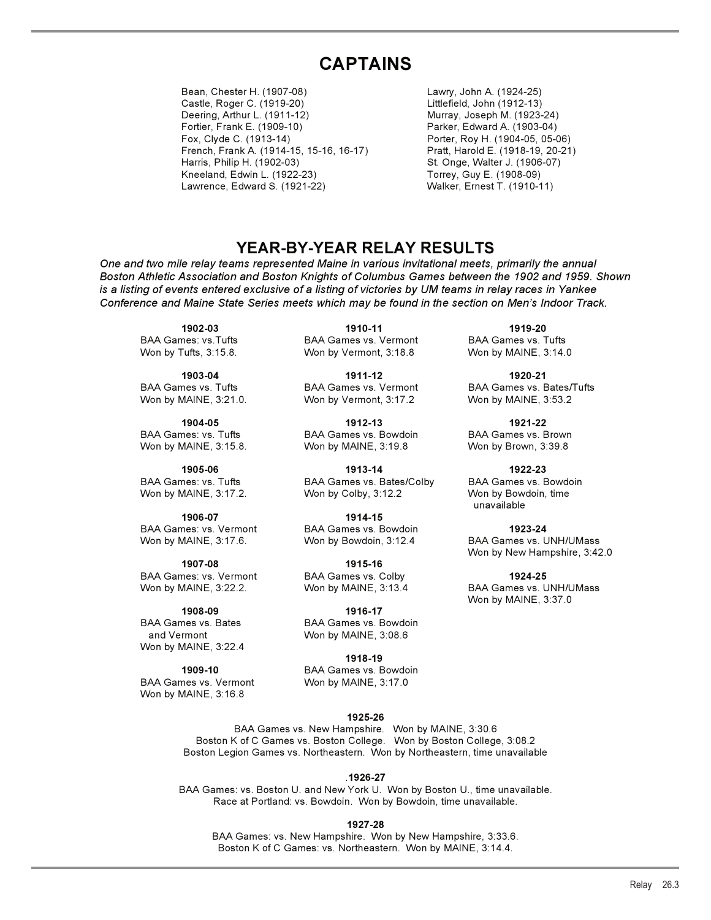# **CAPTAINS**

Bean, Chester H. (1907-08) Lawry, John A. (1924-25) Castle, Roger C. (1919-20) Littlefield, John (1912-13) Deering, Arthur L. (1911-12) Murray, Joseph M. (1923-24) Fortier, Frank E. (1909-10) Parker, Edward A. (1903-04) French, Frank A. (1914-15, 15-16, 16-17) Pratt, Harold E. (1918-19, 20-21) Harris, Philip H. (1902-03) St. Onge, Walter J. (1906-07) Kneeland, Edwin L. (1922-23) Torrey, Guy E. (1908-09) Lawrence, Edward S. (1921-22) Walker, Ernest T. (1910-11)

Porter, Roy H. (1904-05, 05-06)

### **YEAR-BY-YEAR RELAY RESULTS**

*One and two mile relay teams represented Maine in various invitational meets, primarily the annual Boston Athletic Association and Boston Knights of Columbus Games between the 1902 and 1959. Shown is a listing of events entered exclusive of a listing of victories by UM teams in relay races in Yankee Conference and Maine State Series meets which may be found in the section on Men's Indoor Track.*

**1914-15<br>BAA Games: vs. Vermont** BAA Games vs. B BAA Games: vs. Vermont BAA Games vs. Bowdoin **1923-24**<br>Won by MAINE, 3:17.6. **1923-24** Won by Bowdoin, 3:12.4 BAA Games vs. L

BAA Games: vs. Vermont BAA Games vs. Colby **1924-25**

**1908-09 1916-17**  BAA Games vs. Bates BAA Games vs. Bowdoin Won by MAINE, 3:22.4

BAA Games vs. Vermont Won by MAINE, 3:16.8

**1902-03 1910-11 1919-20**  BAA Games: vs.Tufts BAA Games vs. Vermont BAA Games vs. Tufts Won by Tufts, 3:15.8. Won by Vermont, 3:18.8 Won by MAINE, 3:14.0

**1903-04 1911-12 1920-21**  Won by MAINE, 3:21.0. Won by Vermont, 3:17.2 Won by MAINE, 3:53.2

**1904-05 1912-13 1921-22**  BAA Games: vs. Tufts **BAA Games vs. Bowdoin** BAA Games vs. Brown Won by MAINE, 3:15.8. Won by MAINE, 3:19.8 Won by Brown, 3:39.8

**1905-06 1913-14 1922-23** BAA Games: vs. Tufts **BAA Games vs. Bates/Colby** BAA Games vs. Bowdoin Won by MAINE, 3:17.2. Won by Colby, 3:12.2 Won by Bowdoin, time

**1907-08 1915-16** 

and Vermont Won by MAINE, 3:08.6

**1918-19 1909-10** BAA Games vs. Bowdoin

BAA Games vs. Tufts **BAA Games vs. Vermont** BAA Games vs. Bates/Tufts

unavailable

Won by Bowdoin, 3:12.4 BAA Games vs. UNH/UMass Won by New Hampshire, 3:42.0

Won by MAINE, 3:13.4 BAA Games vs. UNH/UMass Won by MAINE, 3:37.0

#### **1925-26**

BAA Games vs. New Hampshire. Won by MAINE, 3:30.6 Boston K of C Games vs. Boston College. Won by Boston College, 3:08.2 Boston Legion Games vs. Northeastern. Won by Northeastern, time unavailable

.**1926-27**

BAA Games: vs. Boston U. and New York U. Won by Boston U., time unavailable. Race at Portland: vs. Bowdoin. Won by Bowdoin, time unavailable.

**1927-28**

BAA Games: vs. New Hampshire. Won by New Hampshire, 3:33.6. Boston K of C Games: vs. Northeastern. Won by MAINE, 3:14.4.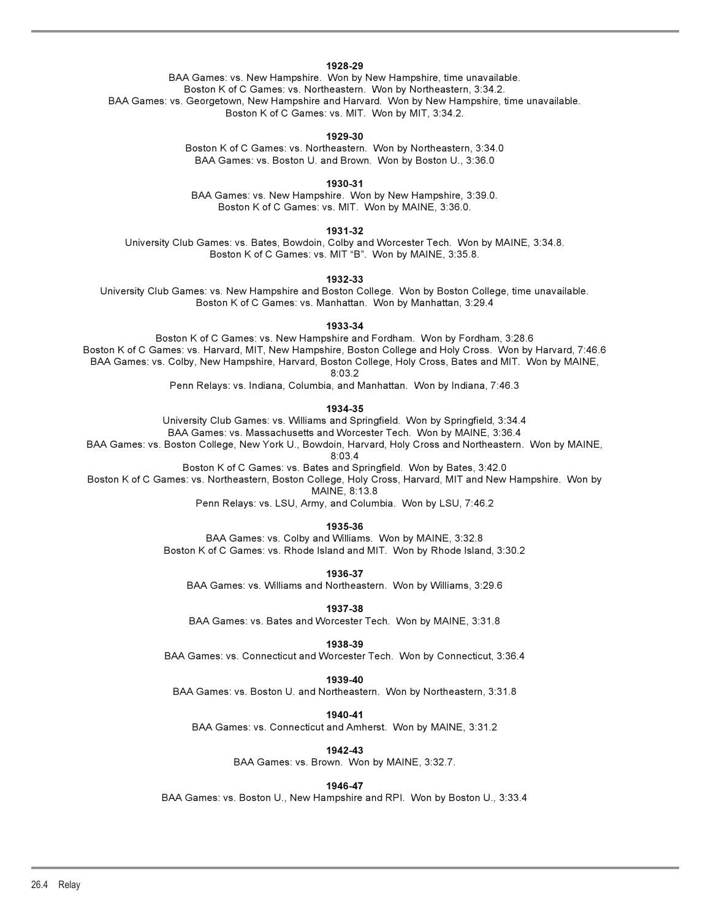#### **1928-29**

BAA Games: vs. New Hampshire. Won by New Hampshire, time unavailable. Boston K of C Games: vs. Northeastern. Won by Northeastern, 3:34.2. BAA Games: vs. Georgetown, New Hampshire and Harvard. Won by New Hampshire, time unavailable. Boston K of C Games: vs. MIT. Won by MIT, 3:34.2.

#### **1929-30**

Boston K of C Games: vs. Northeastern. Won by Northeastern, 3:34.0 BAA Games: vs. Boston U. and Brown. Won by Boston U., 3:36.0

**1930-31**

BAA Games: vs. New Hampshire. Won by New Hampshire, 3:39.0. Boston K of C Games: vs. MIT. Won by MAINE, 3:36.0.

**1931-32** 

University Club Games: vs. Bates, Bowdoin, Colby and Worcester Tech. Won by MAINE, 3:34.8. Boston K of C Games: vs. MIT "B". Won by MAINE, 3:35.8.

**1932-33** 

University Club Games: vs. New Hampshire and Boston College. Won by Boston College, time unavailable. Boston K of C Games: vs. Manhattan. Won by Manhattan, 3:29.4

**1933-34** 

Boston K of C Games: vs. New Hampshire and Fordham. Won by Fordham, 3:28.6 Boston K of C Games: vs. Harvard, MIT, New Hampshire, Boston College and Holy Cross. Won by Harvard, 7:46.6 BAA Games: vs. Colby, New Hampshire, Harvard, Boston College, Holy Cross, Bates and MIT. Won by MAINE, 8:03.2

Penn Relays: vs. Indiana, Columbia, and Manhattan. Won by Indiana, 7:46.3

**1934-35**

University Club Games: vs. Williams and Springfield. Won by Springfield, 3:34.4 BAA Games: vs. Massachusetts and Worcester Tech. Won by MAINE, 3:36.4

BAA Games: vs. Boston College, New York U., Bowdoin, Harvard, Holy Cross and Northeastern. Won by MAINE,

8:03.4

Boston K of C Games: vs. Bates and Springfield. Won by Bates, 3:42.0

Boston K of C Games: vs. Northeastern, Boston College, Holy Cross, Harvard, MIT and New Hampshire. Won by MAINE, 8:13.8

Penn Relays: vs. LSU, Army, and Columbia. Won by LSU, 7:46.2

**1935-36**

BAA Games: vs. Colby and Williams. Won by MAINE, 3:32.8 Boston K of C Games: vs. Rhode Island and MIT. Won by Rhode Island, 3:30.2

**1936-37**

BAA Games: vs. Williams and Northeastern. Won by Williams, 3:29.6

**1937-38** 

BAA Games: vs. Bates and Worcester Tech. Won by MAINE, 3:31.8

**1938-39**

BAA Games: vs. Connecticut and Worcester Tech. Won by Connecticut, 3:36.4

**1939-40**

BAA Games: vs. Boston U. and Northeastern. Won by Northeastern, 3:31.8

**1940-41**

BAA Games: vs. Connecticut and Amherst. Won by MAINE, 3:31.2

**1942-43**

BAA Games: vs. Brown. Won by MAINE, 3:32.7.

**1946-47**

BAA Games: vs. Boston U., New Hampshire and RPI. Won by Boston U., 3:33.4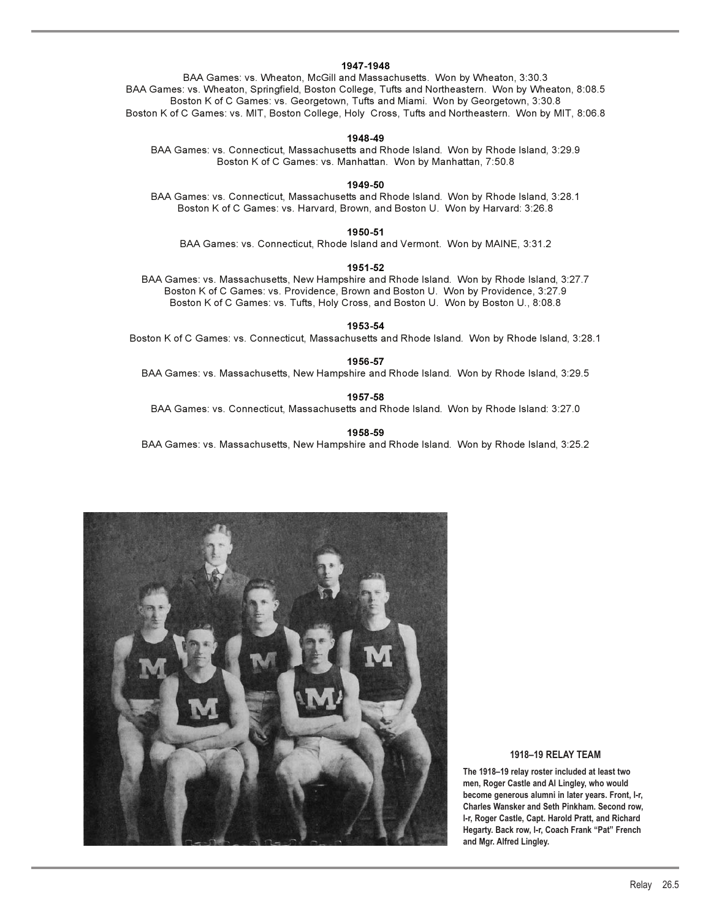#### **1947-1948**

BAA Games: vs. Wheaton, McGill and Massachusetts. Won by Wheaton, 3:30.3 BAA Games: vs. Wheaton, Springfield, Boston College, Tufts and Northeastern. Won by Wheaton, 8:08.5 Boston K of C Games: vs. Georgetown, Tufts and Miami. Won by Georgetown, 3:30.8 Boston K of C Games: vs. MIT, Boston College, Holy Cross, Tufts and Northeastern. Won by MIT, 8:06.8

#### **1948-49**

BAA Games: vs. Connecticut, Massachusetts and Rhode Island. Won by Rhode Island, 3:29.9 Boston K of C Games: vs. Manhattan. Won by Manhattan, 7:50.8

**1949-50** 

BAA Games: vs. Connecticut, Massachusetts and Rhode Island. Won by Rhode Island, 3:28.1 Boston K of C Games: vs. Harvard, Brown, and Boston U. Won by Harvard: 3:26.8

**1950-51** BAA Games: vs. Connecticut, Rhode Island and Vermont. Won by MAINE, 3:31.2

#### **1951-52**

BAA Games: vs. Massachusetts, New Hampshire and Rhode Island. Won by Rhode Island, 3:27.7 Boston K of C Games: vs. Providence, Brown and Boston U. Won by Providence, 3:27.9 Boston K of C Games: vs. Tufts, Holy Cross, and Boston U. Won by Boston U., 8:08.8

**1953-54** 

Boston K of C Games: vs. Connecticut, Massachusetts and Rhode Island. Won by Rhode Island, 3:28.1

**1956-57**  BAA Games: vs. Massachusetts, New Hampshire and Rhode Island. Won by Rhode Island, 3:29.5

**1957-58** 

BAA Games: vs. Connecticut, Massachusetts and Rhode Island. Won by Rhode Island: 3:27.0

**1958-59**

BAA Games: vs. Massachusetts, New Hampshire and Rhode Island. Won by Rhode Island, 3:25.2



### **1918–19 RELAY TEAM**

**The 1918–19 relay roster included at least two men, Roger Castle and Al Lingley, who would become generous alumni in later years. Front, l-r, Charles Wansker and Seth Pinkham. Second row, l-r, Roger Castle, Capt. Harold Pratt, and Richard Hegarty. Back row, l-r, Coach Frank "Pat" French and Mgr. Alfred Lingley.**